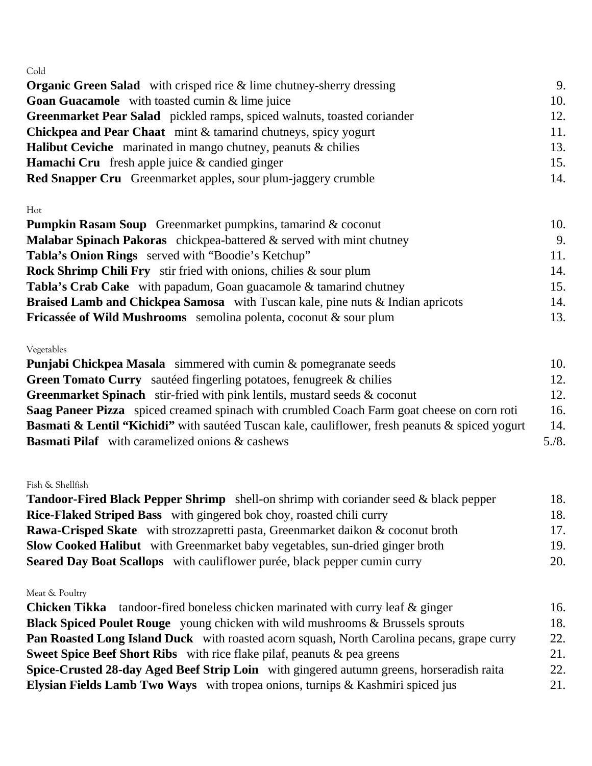#### Cold

| <b>Organic Green Salad</b> with crisped rice & lime chutney-sherry dressing | 9.  |
|-----------------------------------------------------------------------------|-----|
| <b>Goan Guacamole</b> with toasted cumin & lime juice                       | 10. |
| Greenmarket Pear Salad pickled ramps, spiced walnuts, toasted coriander     | 12. |
| <b>Chickpea and Pear Chaat</b> mint & tamarind chutneys, spicy yogurt       | 11. |
| <b>Halibut Ceviche</b> marinated in mango chutney, peanuts $\&$ chilies     | 13. |
| <b>Hamachi Cru</b> fresh apple juice $\&$ candied ginger                    | 15. |
| <b>Red Snapper Cru</b> Greenmarket apples, sour plum-jaggery crumble        | 14. |

### Hot

| <b>Pumpkin Rasam Soup</b> Greenmarket pumpkins, tamarind & coconut                    | 10. |
|---------------------------------------------------------------------------------------|-----|
| Malabar Spinach Pakoras chickpea-battered & served with mint chutney                  | 9.  |
| Tabla's Onion Rings served with "Boodie's Ketchup"                                    | 11. |
| <b>Rock Shrimp Chili Fry</b> stir fried with onions, chilies $\&$ sour plum           | 14. |
| <b>Tabla's Crab Cake</b> with papadum, Goan guacamole & tamarind chutney              | 15. |
| <b>Braised Lamb and Chickpea Samosa</b> with Tuscan kale, pine nuts & Indian apricots | 14. |
| <b>Fricassée of Wild Mushrooms</b> semolina polenta, coconut & sour plum              | 13. |

# Vegetables

| <b>Punjabi Chickpea Masala</b> simmered with cumin & pomegranate seeds                                     | 10.   |
|------------------------------------------------------------------------------------------------------------|-------|
| <b>Green Tomato Curry</b> sautéed fingerling potatoes, fenugreek & chilies                                 | 12.   |
| <b>Greenmarket Spinach</b> stir-fried with pink lentils, mustard seeds $\&$ coconut                        | 12.   |
| Saag Paneer Pizza spiced creamed spinach with crumbled Coach Farm goat cheese on corn roti                 | 16.   |
| <b>Basmati &amp; Lentil "Kichidi"</b> with sauteed Tuscan kale, cauliflower, fresh peanuts & spiced yogurt | 14.   |
| <b>Basmati Pilaf</b> with caramelized onions & cashews                                                     | 5./8. |

# Fish & Shellfish

| <b>Tandoor-Fired Black Pepper Shrimp</b> shell-on shrimp with coriander seed & black pepper | 18.             |
|---------------------------------------------------------------------------------------------|-----------------|
| <b>Rice-Flaked Striped Bass</b> with gingered bok choy, roasted chili curry                 | 18.             |
| Rawa-Crisped Skate with strozzapretti pasta, Greenmarket daikon & coconut broth             | 17 <sub>1</sub> |
| <b>Slow Cooked Halibut</b> with Greenmarket baby vegetables, sun-dried ginger broth         | 19.             |
| <b>Seared Day Boat Scallops</b> with cauliflower pure to black pepper cumin curry           | 20.             |

## Meat & Poultry

| <b>Chicken Tikka</b> tandoor-fired boneless chicken marinated with curry leaf $\&$ ginger         |     |  |  |
|---------------------------------------------------------------------------------------------------|-----|--|--|
| <b>Black Spiced Poulet Rouge</b> young chicken with wild mushrooms & Brussels sprouts             | 18. |  |  |
| <b>Pan Roasted Long Island Duck</b> with roasted acorn squash, North Carolina pecans, grape curry | 22. |  |  |
| <b>Sweet Spice Beef Short Ribs</b> with rice flake pilaf, peanuts $\&$ pea greens                 | 21. |  |  |
| Spice-Crusted 28-day Aged Beef Strip Loin with gingered autumn greens, horseradish raita          | 22. |  |  |
| <b>Elysian Fields Lamb Two Ways</b> with tropea onions, turnips $\&$ Kashmiri spiced jus          | 21. |  |  |